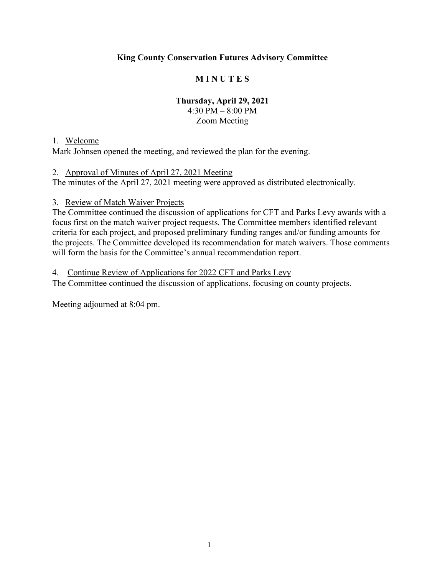## **King County Conservation Futures Advisory Committee**

# **M I N U T E S**

## **Thursday, April 29, 2021**

4:30 PM – 8:00 PM Zoom Meeting

#### 1. Welcome

Mark Johnsen opened the meeting, and reviewed the plan for the evening.

#### 2. Approval of Minutes of April 27, 2021 Meeting

The minutes of the April 27, 2021 meeting were approved as distributed electronically.

#### 3. Review of Match Waiver Projects

The Committee continued the discussion of applications for CFT and Parks Levy awards with a focus first on the match waiver project requests. The Committee members identified relevant criteria for each project, and proposed preliminary funding ranges and/or funding amounts for the projects. The Committee developed its recommendation for match waivers. Those comments will form the basis for the Committee's annual recommendation report.

#### 4. Continue Review of Applications for 2022 CFT and Parks Levy

The Committee continued the discussion of applications, focusing on county projects.

Meeting adjourned at 8:04 pm.